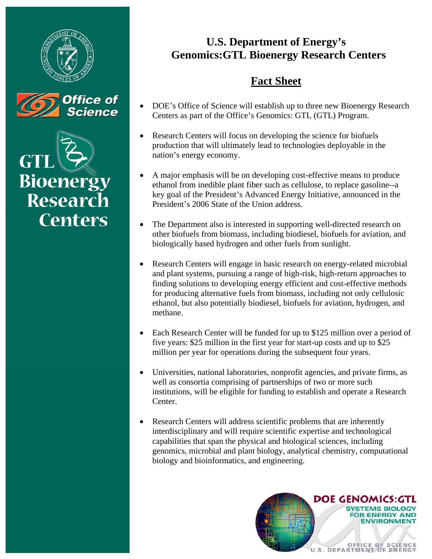



**Bioenergy Research Centers** 

## **U.S. Department of Energy's Genomics:GTL Bioenergy Research Centers**

## **Fact Sheet**

- DOE's Office of Science will establish up to three new Bioenergy Research Centers as part of the Office's Genomics: GTL (GTL) Program.
- Research Centers will focus on developing the science for biofuels production that will ultimately lead to technologies deployable in the nation's energy economy.
- A major emphasis will be on developing cost-effective means to produce ethanol from inedible plant fiber such as cellulose, to replace gasoline--a key goal of the President's Advanced Energy Initiative, announced in the President's 2006 State of the Union address.
- The Department also is interested in supporting well-directed research on other biofuels from biomass, including biodiesel, biofuels for aviation, and biologically based hydrogen and other fuels from sunlight.
- Research Centers will engage in basic research on energy-related microbial and plant systems, pursuing a range of high-risk, high-return approaches to finding solutions to developing energy efficient and cost-effective methods for producing alternative fuels from biomass, including not only cellulosic ethanol, but also potentially biodiesel, biofuels for aviation, hydrogen, and methane.
- Each Research Center will be funded for up to \$125 million over a period of five years: \$25 million in the first year for start-up costs and up to \$25 million per year for operations during the subsequent four years.
- Universities, national laboratories, nonprofit agencies, and private firms, as well as consortia comprising of partnerships of two or more such institutions, will be eligible for funding to establish and operate a Research Center.
- Research Centers will address scientific problems that are inherently interdisciplinary and will require scientific expertise and technological capabilities that span the physical and biological sciences, including genomics, microbial and plant biology, analytical chemistry, computational biology and bioinformatics, and engineering.

**DOE GENOMICS:G** 

OFFICE OF SCIENCE

**STEMS BIOLOG RENERGY AND ENVIRONMEN**